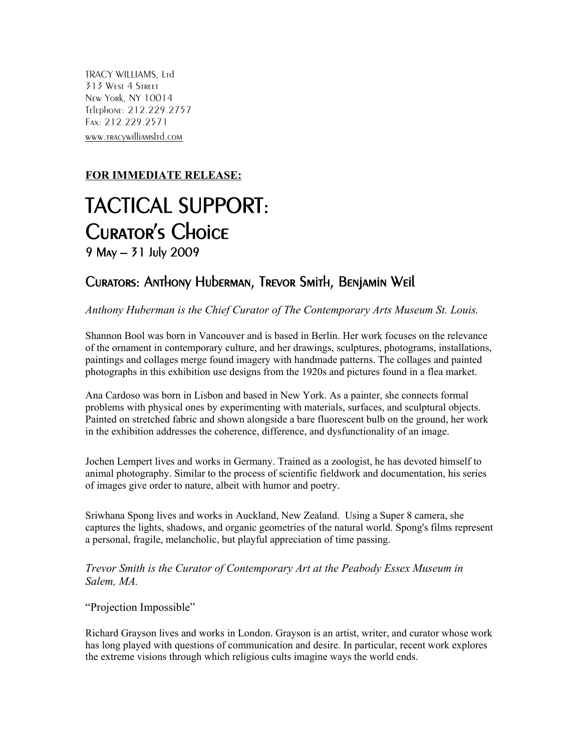TRACY WILLIAMS, Ltd 313 West 4 Street New York, NY 10014 Telephone: 212.229.2757 Fax: 212.229.2571 www.tracywilliamsltd.com

## **FOR IMMEDIATE RELEASE:**

## TACTICAL SUPPORT: Curator's Choice 9 May – 31 July 2009

## Curators: Anthony Huberman, Trevor Smith, Benjamin Weil

*Anthony Huberman is the Chief Curator of The Contemporary Arts Museum St. Louis.*

Shannon Bool was born in Vancouver and is based in [Berlin.](http://en.wikipedia.org/wiki/Berlin) Her work focuses on the relevance of the [ornament](http://en.wikipedia.org/wiki/Ornament) in contemporary culture, and her [drawing](http://en.wikipedia.org/wiki/Drawing)s, [sculpture](http://en.wikipedia.org/wiki/Sculpture)s, [photograms](http://en.wikipedia.org/wiki/Photogram), [installations](http://en.wikipedia.org/wiki/Installation_art), [painting](http://en.wikipedia.org/wiki/Painting)s and [collages](http://en.wikipedia.org/wiki/Collage) merge found imagery with handmade patterns. The collages and painted photographs in this exhibition use designs from the 1920s and pictures found in a flea market.

Ana Cardoso was born in Lisbon and based in New York. As a painter, she connects formal problems with physical ones by experimenting with materials, surfaces, and sculptural objects. Painted on stretched fabric and shown alongside a bare fluorescent bulb on the ground, her work in the exhibition addresses the coherence, difference, and dysfunctionality of an image.

Jochen Lempert lives and works in Germany. Trained as a zoologist, he has devoted himself to animal photography. Similar to the process of scientific fieldwork and documentation, his series of images give order to nature, albeit with humor and poetry.

Sriwhana Spong lives and works in Auckland, New Zealand. Using a Super 8 camera, she captures the lights, shadows, and organic geometries of the natural world. Spong's films represent a personal, fragile, melancholic, but playful appreciation of time passing.

*Trevor Smith is the Curator of Contemporary Art at the Peabody Essex Museum in Salem, MA.*

"Projection Impossible"

Richard Grayson lives and works in London. Grayson is an artist, writer, and curator whose work has long played with questions of communication and desire. In particular, recent work explores the extreme visions through which religious cults imagine ways the world ends.